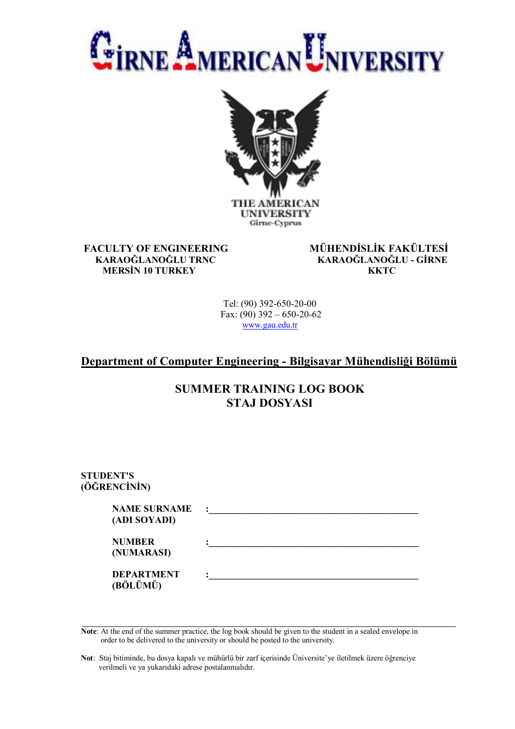# **IRNE AMERICAN UNIVERSITY**



**FACULTY OF ENGINEERING MÜHENDİSLİK FAKÜLTESİ<br>KARAOĞLANOĞLU TRNC KARAOĞLANOĞLU - GİRNE MERSİN 10 TURKEY** 

 **KARAOĞLANOĞLU TRNC KARAOĞLANOĞLU - GİRNE** 

Tel: (90) 392-650-20-00 Fax: (90) 392 – 650-20-62 www.gau.edu.tr

## **Department of Computer Engineering - Bilgisayar Mühendisliği Bölümü**

**SUMMER TRAINING LOG BOOK STAJ DOSYASI**

| <b>STUDENT'S</b><br>(ÖĞRENCİNİN)    |                |
|-------------------------------------|----------------|
| <b>NAME SURNAME</b><br>(ADI SOYADI) | $\ddot{\cdot}$ |
| <b>NUMBER</b><br>(NUMARASI)         |                |
| <b>DEPARTMENT</b><br>(BÖLÜMÜ)       |                |

**Note**: At the end of the summer practice, the log book should be given to the student in a sealed envelope in order to be delivered to the university or should be posted to the university.

**Not**: Staj bitiminde, bu dosya kapalı ve mühürlü bir zarf içerisinde Üniversite'ye iletilmek üzere öğrenciye verilmeli ve ya yukarıdaki adrese postalanmalıdır.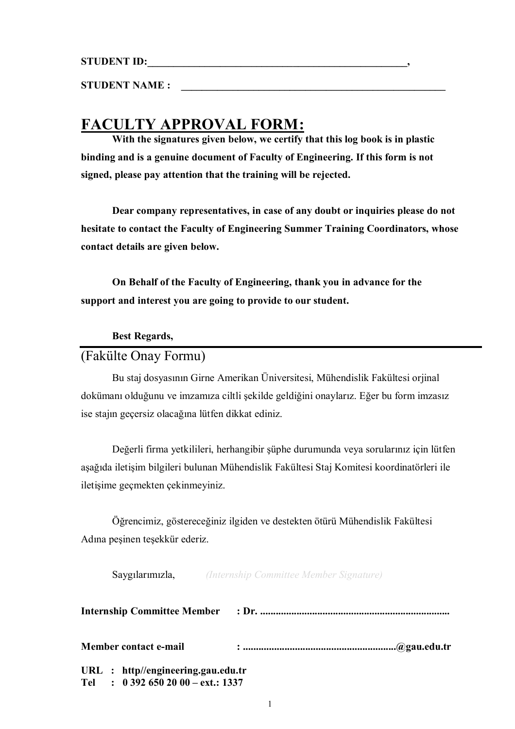**STUDENT NAME :** 

## **FACULTY APPROVAL FORM :**

**With the signatures given below, we certify that this log book is in plastic binding and is a genuine document of Faculty of Engineering. If this form is not signed, please pay attention that the training will be rejected.** 

**Dear company representatives, in case of any doubt or inquiries please do not hesitate to contact the Faculty of Engineering Summer Training Coordinators, whose contact details are given below.** 

**On Behalf of the Faculty of Engineering, thank you in advance for the support and interest you are going to provide to our student.** 

#### **Best Regards,**

## (Fakülte Onay Formu)

 Bu staj dosyasının Girne Amerikan Üniversitesi, Mühendislik Fakültesi orjinal dokümanı olduğunu ve imzamıza ciltli şekilde geldiğini onaylarız. Eğer bu form imzasız ise stajın geçersiz olacağına lütfen dikkat ediniz.

 Değerli firma yetkilileri, herhangibir şüphe durumunda veya sorularınız için lütfen aşağıda iletişim bilgileri bulunan Mühendislik Fakültesi Staj Komitesi koordinatörleri ile iletişime geçmekten çekinmeyiniz.

Öğrencimiz, göstereceğiniz ilgiden ve destekten ötürü Mühendislik Fakültesi Adına peşinen teşekkür ederiz.

|                                                                          | <b>Saygilarimizla,</b> <i>(Internship Committee Member Signature)</i> |
|--------------------------------------------------------------------------|-----------------------------------------------------------------------|
|                                                                          |                                                                       |
| Member contact e-mail                                                    |                                                                       |
| URL : http//engineering.gau.edu.tr<br>Tel : $0.3926502000 - ext.$ : 1337 |                                                                       |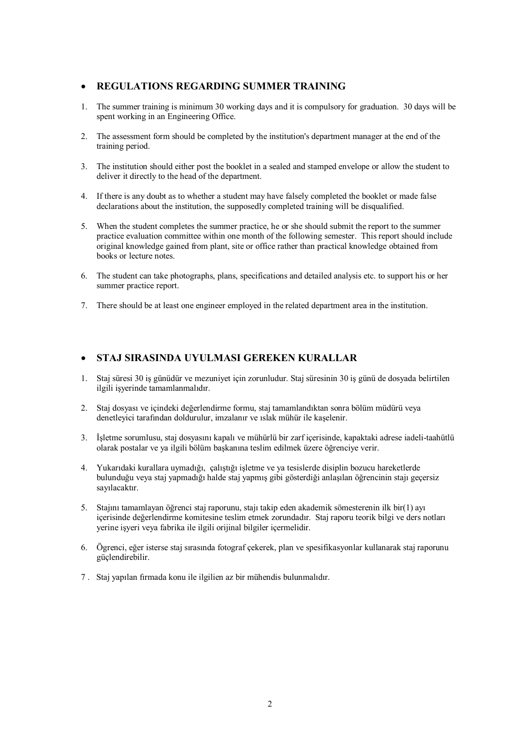#### **REGULATIONS REGARDING SUMMER TRAINING**

- 1. The summer training is minimum 30 working days and it is compulsory for graduation. 30 days will be spent working in an Engineering Office.
- 2. The assessment form should be completed by the institution's department manager at the end of the training period.
- 3. The institution should either post the booklet in a sealed and stamped envelope or allow the student to deliver it directly to the head of the department.
- 4. If there is any doubt as to whether a student may have falsely completed the booklet or made false declarations about the institution, the supposedly completed training will be disqualified.
- 5. When the student completes the summer practice, he or she should submit the report to the summer practice evaluation committee within one month of the following semester. This report should include original knowledge gained from plant, site or office rather than practical knowledge obtained from books or lecture notes.
- 6. The student can take photographs, plans, specifications and detailed analysis etc. to support his or her summer practice report.
- 7. There should be at least one engineer employed in the related department area in the institution.

#### **STAJ SIRASINDA UYULMASI GEREKEN KURALLAR**

- 1. Staj süresi 30 iş günüdür ve mezuniyet için zorunludur. Staj süresinin 30 iş günü de dosyada belirtilen ilgili işyerinde tamamlanmalıdır.
- 2. Staj dosyası ve içindeki değerlendirme formu, staj tamamlandıktan sonra bölüm müdürü veya denetleyici tarafından doldurulur, imzalanır ve ıslak mühür ile kaşelenir.
- 3. İşletme sorumlusu, staj dosyasını kapalı ve mühürlü bir zarf içerisinde, kapaktaki adrese iadeli-taahütlü olarak postalar ve ya ilgili bölüm başkanına teslim edilmek üzere öğrenciye verir.
- 4. Yukarıdaki kurallara uymadığı, çalıştığı işletme ve ya tesislerde disiplin bozucu hareketlerde bulunduğu veya staj yapmadığı halde staj yapmış gibi gösterdiği anlaşılan öğrencinin stajı geçersiz sayılacaktır.
- 5. Stajını tamamlayan öğrenci staj raporunu, stajı takip eden akademik sömesterenin ilk bir(1) ayı içerisinde değerlendirme komitesine teslim etmek zorundadır. Staj raporu teorik bilgi ve ders notları yerine işyeri veya fabrika ile ilgili orijinal bilgiler içermelidir.
- 6. Ögrenci, eğer isterse staj sırasında fotograf çekerek, plan ve spesifikasyonlar kullanarak staj raporunu güçlendirebilir.
- 7 . Staj yapılan fırmada konu ile ilgilien az bir mühendis bulunmalıdır.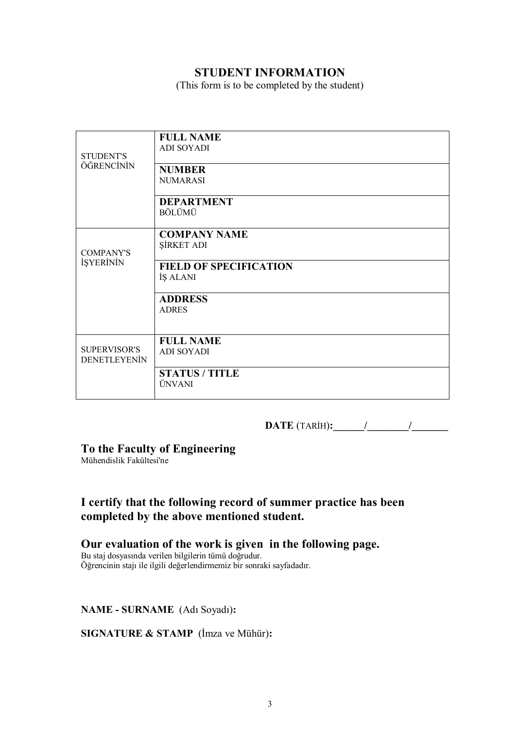#### **STUDENT INFORMATION**

(This form is to be completed by the student)

| <b>STUDENT'S</b>    | <b>FULL NAME</b><br><b>ADI SOYADI</b> |
|---------------------|---------------------------------------|
| ÖĞRENCİNİN          | <b>NUMBER</b>                         |
|                     | <b>NUMARASI</b>                       |
|                     |                                       |
|                     | <b>DEPARTMENT</b>                     |
|                     | BÖLÜMÜ                                |
|                     |                                       |
|                     | <b>COMPANY NAME</b>                   |
|                     | ŞİRKET ADI                            |
| <b>COMPANY'S</b>    |                                       |
| <b>İŞYERİNİN</b>    | <b>FIELD OF SPECIFICATION</b>         |
|                     | İŞ ALANI                              |
|                     |                                       |
|                     | <b>ADDRESS</b>                        |
|                     | <b>ADRES</b>                          |
|                     |                                       |
|                     |                                       |
|                     | <b>FULL NAME</b>                      |
| <b>SUPERVISOR'S</b> | <b>ADI SOYADI</b>                     |
| <b>DENETLEYENİN</b> |                                       |
|                     | <b>STATUS / TITLE</b>                 |
|                     | ÜNVANI                                |
|                     |                                       |

**DATE** (TARİH)**:\_\_\_\_\_\_/\_\_\_\_\_\_\_\_/\_\_\_\_\_\_\_** 

#### **To the Faculty of Engineering**

Mühendislik Fakültesi'ne

#### **I certify that the following record of summer practice has been completed by the above mentioned student.**

## **Our evaluation of the work is given in the following page.**

Bu staj dosyasında verilen bilgilerin tümü doğrudur. Öğrencinin stajı ile ilgili değerlendirmemiz bir sonraki sayfadadır.

**NAME - SURNAME** (Adı Soyadı)**:**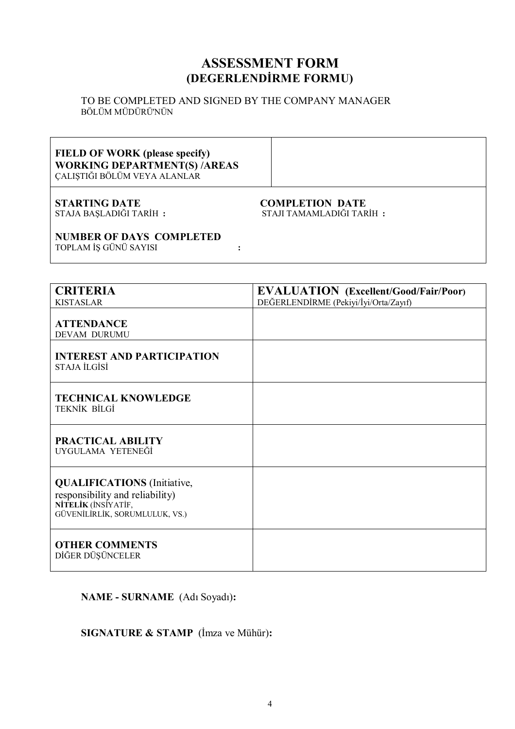## **ASSESSMENT FORM (DEGERLENDİRME FORMU)**

#### TO BE COMPLETED AND SIGNED BY THE COMPANY MANAGER BÖLÜM MÜDÜRÜ'NÜN

## **FIELD OF WORK (please specify) WORKING DEPARTMENT(S) /AREAS**  ÇALIŞTIĞI BÖLÜM VEYA ALANLAR

## $STAJA BAŞLADIĞI TARIH :$

# **STARTING DATE COMPLETION DATE**

#### **NUMBER OF DAYS COMPLETED**

TOPLAM İŞ GÜNÜ SAYISI **:** 

| <b>CRITERIA</b>                                                                                                                | <b>EVALUATION</b> (Excellent/Good/Fair/Poor) |
|--------------------------------------------------------------------------------------------------------------------------------|----------------------------------------------|
| <b>KISTASLAR</b>                                                                                                               | DEĞERLENDİRME (Pekiyi/İyi/Orta/Zayıf)        |
|                                                                                                                                |                                              |
| <b>ATTENDANCE</b>                                                                                                              |                                              |
| DEVAM DURUMU                                                                                                                   |                                              |
| <b>INTEREST AND PARTICIPATION</b><br>STAJA İLGİSİ                                                                              |                                              |
| <b>TECHNICAL KNOWLEDGE</b><br><b>TEKNİK BİLGİ</b>                                                                              |                                              |
| <b>PRACTICAL ABILITY</b><br>UYGULAMA YETENEĞİ                                                                                  |                                              |
| <b>QUALIFICATIONS</b> (Initiative,<br>responsibility and reliability)<br>NİTELİK (İNSİYATİF,<br>GÜVENİLİRLİK, SORUMLULUK, VS.) |                                              |
| <b>OTHER COMMENTS</b><br>DİĞER DÜŞÜNCELER                                                                                      |                                              |

**NAME - SURNAME** (Adı Soyadı)**:**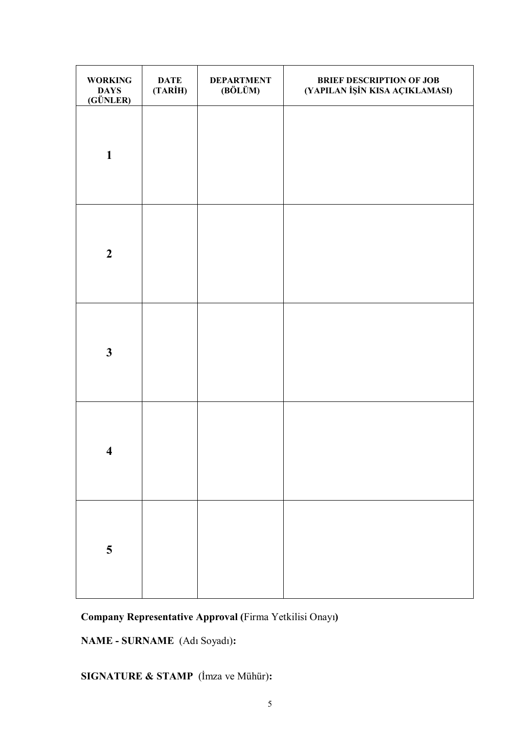| <b>WORKING</b><br>DAYS<br>(GÜNLER) | DATE<br>(TARİH) | <b>DEPARTMENT</b><br>(BÖLÜM) | BRIEF DESCRIPTION OF JOB<br>(YAPILAN İŞİN KISA AÇIKLAMASI) |
|------------------------------------|-----------------|------------------------------|------------------------------------------------------------|
| $\mathbf{1}$                       |                 |                              |                                                            |
| $\boldsymbol{2}$                   |                 |                              |                                                            |
| $\mathbf{3}$                       |                 |                              |                                                            |
| $\boldsymbol{4}$                   |                 |                              |                                                            |
| 5                                  |                 |                              |                                                            |

**NAME - SURNAME** (Adı Soyadı)**:**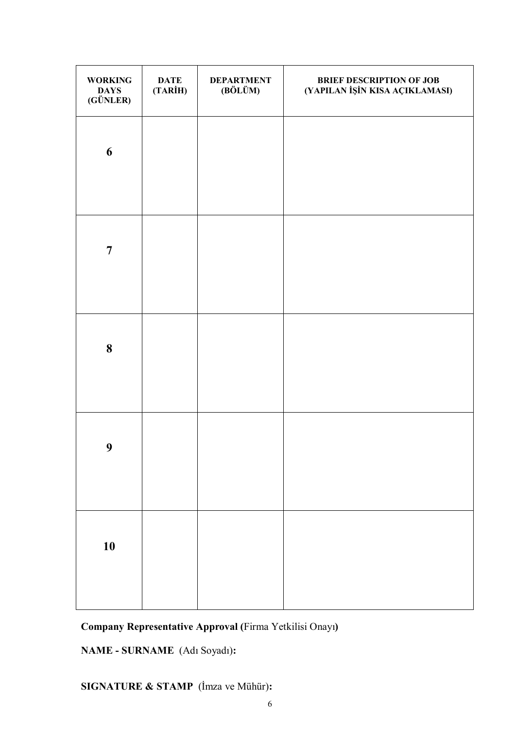| <b>WORKING</b><br>DAYS<br>(GÜNLER) | <b>DATE</b><br>(TARİH) | <b>DEPARTMENT</b><br>(BÖLÜM) | BRIEF DESCRIPTION OF JOB<br>(YAPILAN İŞİN KISA AÇIKLAMASI) |
|------------------------------------|------------------------|------------------------------|------------------------------------------------------------|
| 6                                  |                        |                              |                                                            |
| $\overline{7}$                     |                        |                              |                                                            |
| 8                                  |                        |                              |                                                            |
| $\boldsymbol{9}$                   |                        |                              |                                                            |
| 10                                 |                        |                              |                                                            |

**NAME - SURNAME** (Adı Soyadı)**:**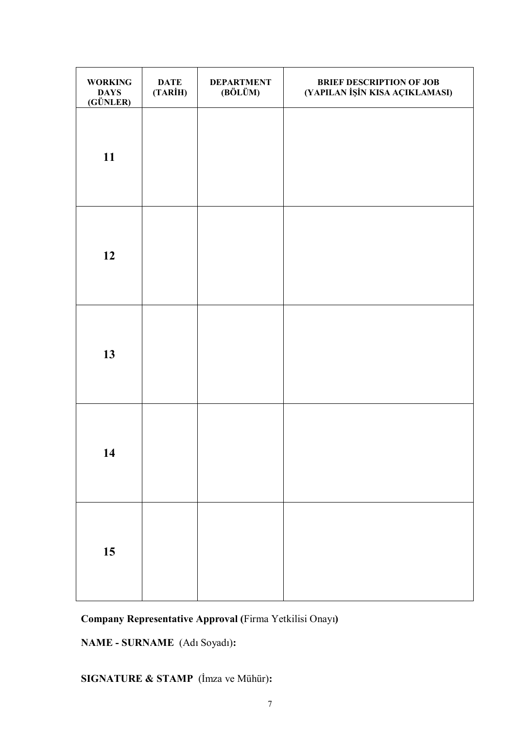| <b>WORKING</b><br><b>DAYS</b><br>(GÜNLER) | <b>DATE</b><br>(TARİH) | <b>DEPARTMENT</b><br>(BÖLÜM) | <b>BRIEF DESCRIPTION OF JOB</b><br>(YAPILAN İŞİN KISA AÇIKLAMASI) |
|-------------------------------------------|------------------------|------------------------------|-------------------------------------------------------------------|
| 11                                        |                        |                              |                                                                   |
| 12                                        |                        |                              |                                                                   |
| 13                                        |                        |                              |                                                                   |
| 14                                        |                        |                              |                                                                   |
| 15                                        |                        |                              |                                                                   |

**NAME - SURNAME** (Adı Soyadı)**:**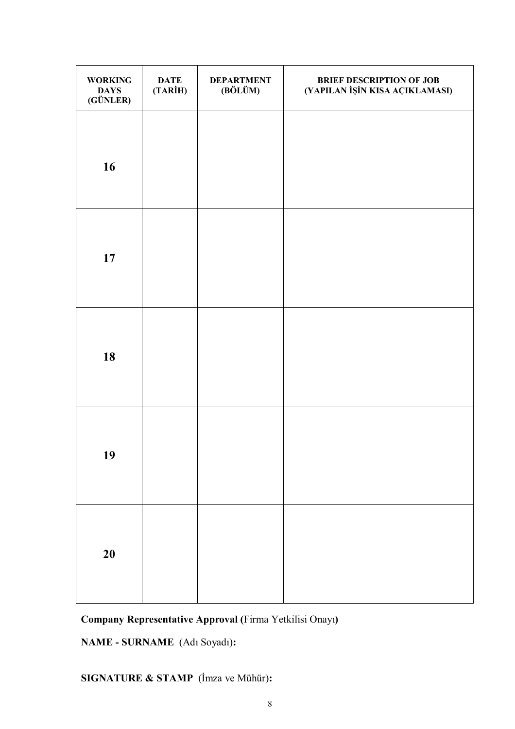| <b>WORKING</b><br><b>DAYS</b><br>(GÜNLER) | <b>DATE</b><br>(TARİH) | <b>DEPARTMENT</b><br>(BÖLÜM) | <b>BRIEF DESCRIPTION OF JOB</b><br>(YAPILAN İŞİN KISA AÇIKLAMASI) |
|-------------------------------------------|------------------------|------------------------------|-------------------------------------------------------------------|
| 16                                        |                        |                              |                                                                   |
| 17                                        |                        |                              |                                                                   |
| 18                                        |                        |                              |                                                                   |
| 19                                        |                        |                              |                                                                   |
| 20                                        |                        |                              |                                                                   |

**NAME - SURNAME** (Adı Soyadı)**:**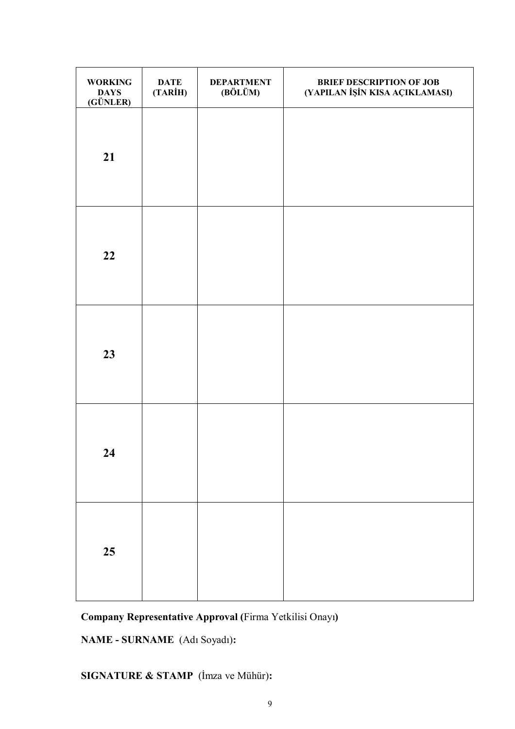| <b>WORKING</b><br><b>DAYS</b><br>(GÜNLER) | <b>DATE</b><br>(TARİH) | <b>DEPARTMENT</b><br>(BÖLÜM) | <b>BRIEF DESCRIPTION OF JOB</b><br>(YAPILAN İŞİN KISA AÇIKLAMASI) |
|-------------------------------------------|------------------------|------------------------------|-------------------------------------------------------------------|
| 21                                        |                        |                              |                                                                   |
| 22                                        |                        |                              |                                                                   |
| 23                                        |                        |                              |                                                                   |
| 24                                        |                        |                              |                                                                   |
| 25                                        |                        |                              |                                                                   |

**NAME - SURNAME** (Adı Soyadı)**:**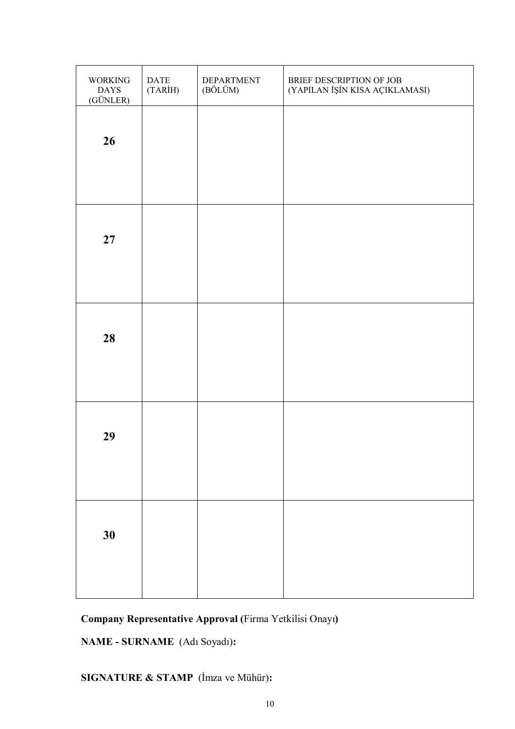| <b>WORKING</b><br>$\mathbf{DA} \mathbf{Y} \mathbf{S}$<br>(GÜNLER) | DATE<br>(TARİH) | DEPARTMENT<br>(BÖLÜM) | BRIEF DESCRIPTION OF JOB<br>(YAPILAN İŞİN KISA AÇIKLAMASI) |
|-------------------------------------------------------------------|-----------------|-----------------------|------------------------------------------------------------|
| 26                                                                |                 |                       |                                                            |
| 27                                                                |                 |                       |                                                            |
| 28                                                                |                 |                       |                                                            |
| 29                                                                |                 |                       |                                                            |
| 30                                                                |                 |                       |                                                            |

**NAME - SURNAME** (Adı Soyadı)**:**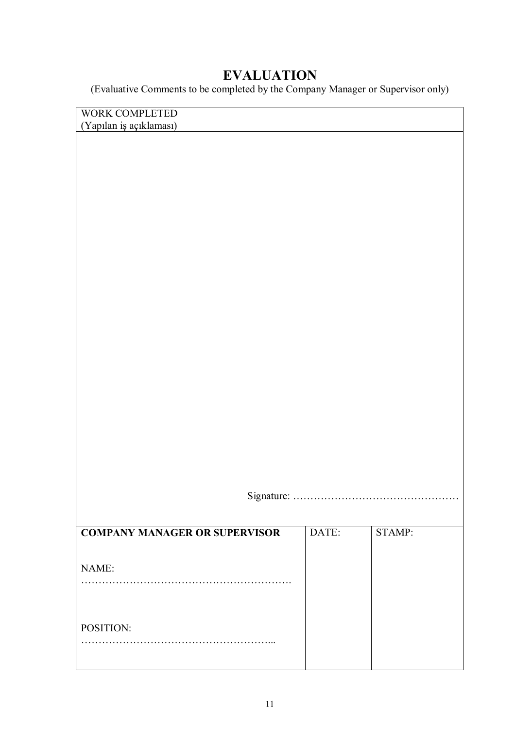## **EVALUATION**

(Evaluative Comments to be completed by the Company Manager or Supervisor only)

| WORK COMPLETED                       |       |        |
|--------------------------------------|-------|--------|
| (Yapılan iş açıklaması)              |       |        |
|                                      |       |        |
|                                      |       |        |
|                                      |       |        |
|                                      |       |        |
|                                      |       |        |
|                                      |       |        |
|                                      |       |        |
|                                      |       |        |
|                                      |       |        |
|                                      |       |        |
|                                      |       |        |
|                                      |       |        |
|                                      |       |        |
|                                      |       |        |
|                                      |       |        |
|                                      |       |        |
|                                      |       |        |
|                                      |       |        |
|                                      |       |        |
|                                      |       |        |
|                                      |       |        |
|                                      |       |        |
|                                      |       |        |
|                                      |       |        |
|                                      |       |        |
|                                      |       |        |
|                                      |       |        |
| <b>COMPANY MANAGER OR SUPERVISOR</b> | DATE: | STAMP: |
|                                      |       |        |
| NAME:                                |       |        |
|                                      |       |        |
|                                      |       |        |
|                                      |       |        |
| POSITION:                            |       |        |
|                                      |       |        |
|                                      |       |        |
|                                      |       |        |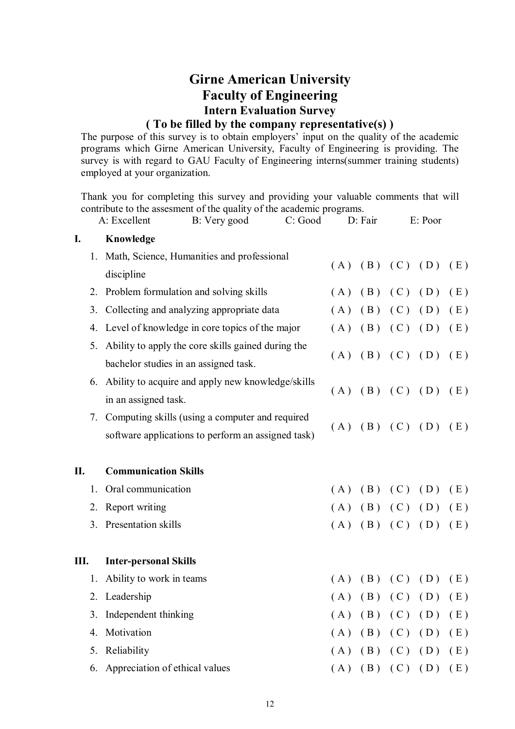## **Girne American University Faculty of Engineering Intern Evaluation Survey**

#### **( To be filled by the company representative(s) )**

The purpose of this survey is to obtain employers' input on the quality of the academic programs which Girne American University, Faculty of Engineering is providing. The survey is with regard to GAU Faculty of Engineering interns(summer training students) employed at your organization.

Thank you for completing this survey and providing your valuable comments that will contribute to the assesment of the quality of the academic programs.

|    |    | A: Excellent<br>B: Very good                                                                                                                  |                                                    | C: Good | D: Fair |                     | E: Poor           |                     |     |
|----|----|-----------------------------------------------------------------------------------------------------------------------------------------------|----------------------------------------------------|---------|---------|---------------------|-------------------|---------------------|-----|
| I. |    | Knowledge                                                                                                                                     |                                                    |         |         |                     |                   |                     |     |
|    |    | 1. Math, Science, Humanities and professional                                                                                                 |                                                    |         |         | (A) (B) (C) (D) (E) |                   |                     |     |
|    |    | discipline                                                                                                                                    |                                                    |         |         |                     |                   |                     |     |
|    |    | 2. Problem formulation and solving skills                                                                                                     |                                                    |         | (A)     |                     | $(B)$ $(C)$       | (D)                 | (E) |
|    | 3. |                                                                                                                                               | Collecting and analyzing appropriate data          |         | (A)     | (B)                 | (C)               | (D)                 | (E) |
|    | 4. | Level of knowledge in core topics of the major<br>Ability to apply the core skills gained during the<br>bachelor studies in an assigned task. |                                                    | (A)     |         | $(B)$ $(C)$ $(D)$   |                   | (E)                 |     |
|    | 5. |                                                                                                                                               |                                                    |         |         | (A) (B) (C) (D)     |                   | (E)                 |     |
|    |    |                                                                                                                                               |                                                    |         |         |                     |                   |                     |     |
|    |    | 6. Ability to acquire and apply new knowledge/skills<br>in an assigned task.                                                                  |                                                    |         |         |                     |                   | (A) (B) (C) (D) (E) |     |
|    |    |                                                                                                                                               |                                                    |         |         |                     |                   |                     |     |
|    |    | 7. Computing skills (using a computer and required                                                                                            |                                                    |         |         |                     |                   | (E)                 |     |
|    |    |                                                                                                                                               | software applications to perform an assigned task) |         |         | (A) (B) (C) (D)     |                   |                     |     |
|    |    |                                                                                                                                               |                                                    |         |         |                     |                   |                     |     |
| П. |    | <b>Communication Skills</b>                                                                                                                   |                                                    |         |         |                     |                   |                     |     |
|    | 1. | Oral communication                                                                                                                            |                                                    |         | (A)     |                     | $(B)$ $(C)$       | (D)                 | (E) |
|    | 2. | Report writing                                                                                                                                |                                                    |         | (A)     |                     | $(B)$ $(C)$ $(D)$ |                     | (E) |
|    | 3. | Presentation skills                                                                                                                           |                                                    | (A)     |         | (B) (C) (D)         |                   | (E)                 |     |
|    |    |                                                                                                                                               |                                                    |         |         |                     |                   |                     |     |
| Ш. |    | <b>Inter-personal Skills</b>                                                                                                                  |                                                    |         |         |                     |                   |                     |     |
|    | 1. | Ability to work in teams                                                                                                                      |                                                    |         | (A)     |                     | (B) (C) (D)       |                     | (E) |
|    |    | 2. Leadership                                                                                                                                 |                                                    |         | (A)     | (B)                 | (C)               | (D)                 | (E) |
|    | 3. | Independent thinking                                                                                                                          |                                                    |         | (A)     |                     | $(B)$ $(C)$ $(D)$ |                     | (E) |
|    | 4. | Motivation                                                                                                                                    |                                                    |         | (A)     | (B)                 | (C)               | (D)                 | (E) |
|    | 5. | Reliability                                                                                                                                   |                                                    |         | (A)     | (B)                 | (C)               | (D)                 | (E) |
|    | 6. | Appreciation of ethical values                                                                                                                |                                                    |         | (A)     | (B)                 | (C)               | (D)                 | (E) |
|    |    |                                                                                                                                               |                                                    |         |         |                     |                   |                     |     |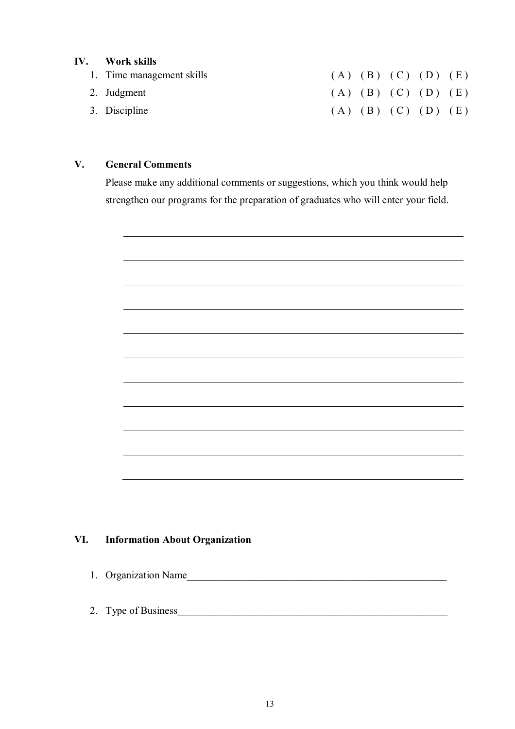#### **IV. Work skills**

| 1. Time management skills |  | $(A)$ $(B)$ $(C)$ $(D)$ $(E)$ |  |
|---------------------------|--|-------------------------------|--|
| 2. Judgment               |  | $(A)$ $(B)$ $(C)$ $(D)$ $(E)$ |  |
| 3. Discipline             |  | (A) (B) (C) (D) (E)           |  |

#### **V. General Comments**

Please make any additional comments or suggestions, which you think would help strengthen our programs for the preparation of graduates who will enter your field.



#### **VI. Information About Organization**

- 1. Organization Name\_\_\_\_\_\_\_\_\_\_\_\_\_\_\_\_\_\_\_\_\_\_\_\_\_\_\_\_\_\_\_\_\_\_\_\_\_\_\_\_\_\_\_\_\_\_\_\_\_\_
- 2. Type of Business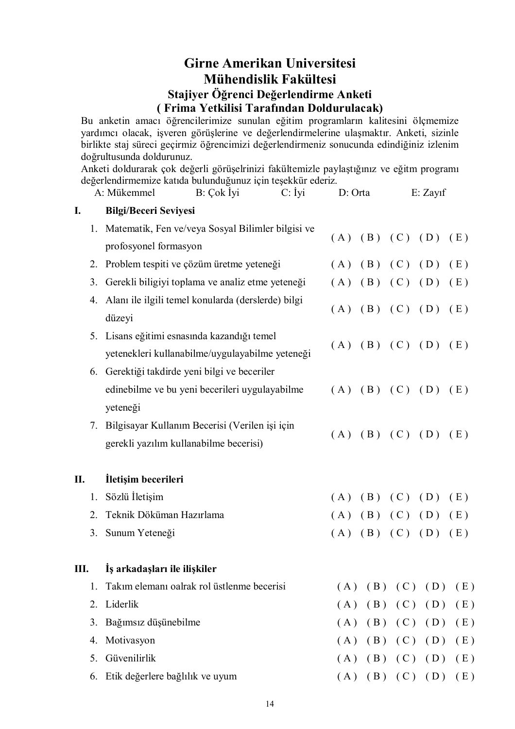## **Girne Amerikan Universitesi Mühendislik Fakültesi Stajiyer Öğrenci Değerlendirme Anketi ( Frima Yetkilisi Tarafından Doldurulacak)**

Bu anketin amacı öğrencilerimize sunulan eğitim programların kalitesini ölçmemize yardımcı olacak, işveren görüşlerine ve değerlendirmelerine ulaşmaktır. Anketi, sizinle birlikte staj süreci geçirmiz öğrencimizi değerlendirmeniz sonucunda edindiğiniz izlenim doğrultusunda doldurunuz.

Anketi doldurarak çok değerli görüşelrinizi fakültemizle paylaştığınız ve eğitm programı değerlendirmemize katıda bulunduğunuz için teşekkür ederiz.

|      |    | $\sum_{i=1}^{n}$<br>A: Mükemmel                                                                             | B: Çok İyi | $C:$ İyi | D: Orta         |                 |     | E: Zayıf          |     |
|------|----|-------------------------------------------------------------------------------------------------------------|------------|----------|-----------------|-----------------|-----|-------------------|-----|
| I.   |    | <b>Bilgi/Beceri Seviyesi</b>                                                                                |            |          |                 |                 |     |                   |     |
|      |    | 1. Matematik, Fen ve/veya Sosyal Bilimler bilgisi ve<br>profosyonel formasyon                               |            | (A)      |                 | (B) (C) (D)     |     | (E)               |     |
|      |    | 2. Problem tespiti ve çözüm üretme yeteneği                                                                 |            |          |                 | (A) (B) (C) (D) |     |                   | (E) |
|      | 3. | Gerekli biligiyi toplama ve analiz etme yeteneği                                                            |            |          |                 | (A) (B) (C) (D) |     |                   | (E) |
|      |    | 4. Alanı ile ilgili temel konularda (derslerde) bilgi<br>düzeyi                                             |            | (A)      | (B)             | $(C)$ $(D)$     |     | (E)               |     |
|      |    | 5. Lisans eğitimi esnasında kazandığı temel<br>yetenekleri kullanabilme/uygulayabilme yeteneği              |            |          | (A) (B) (C) (D) |                 |     | (E)               |     |
|      |    | 6. Gerektiği takdirde yeni bilgi ve beceriler<br>edinebilme ve bu yeni becerileri uygulayabilme<br>yeteneği |            |          |                 |                 |     | (A) (B) (C) (D)   | (E) |
|      | 7. | Bilgisayar Kullanım Becerisi (Verilen işi için<br>gerekli yazılım kullanabilme becerisi)                    |            |          |                 | (A) (B) (C) (D) |     |                   | (E) |
| П.   |    | İletişim becerileri                                                                                         |            |          |                 |                 |     |                   |     |
|      | 1. | Sözlü İletişim                                                                                              |            |          | (A)             | (B)             | (C) | (D)               | (E) |
|      | 2. | Teknik Döküman Hazırlama                                                                                    |            |          |                 | (A) (B) (C) (D) |     |                   | (E) |
|      | 3. | Sunum Yeteneği                                                                                              |            |          | (A)             | (B)             |     | $(C)$ $(D)$       | (E) |
| III. |    | Is arkadasları ile ilişkiler                                                                                |            |          |                 |                 |     |                   |     |
|      |    | 1. Takım elemanı oalrak rol üstlenme becerisi                                                               |            |          | (A)             |                 |     | $(B)$ $(C)$ $(D)$ | (E) |
|      | 2. | Liderlik                                                                                                    |            |          | (A)             | (B)             |     | $(C)$ $(D)$       | (E) |
|      | 3. | Bağımsız düşünebilme                                                                                        |            |          | (A)             | (B)             |     | $(C)$ $(D)$       | (E) |
|      | 4. | Motivasyon                                                                                                  |            |          | (A)             | (B)             | (C) | (D)               | (E) |
|      | 5. | Güvenilirlik                                                                                                |            |          | (A)             | (B)             | (C) | (D)               | (E) |
|      | 6. | Etik değerlere bağlılık ve uyum                                                                             |            |          |                 |                 |     | (A) (B) (C) (D)   | (E) |